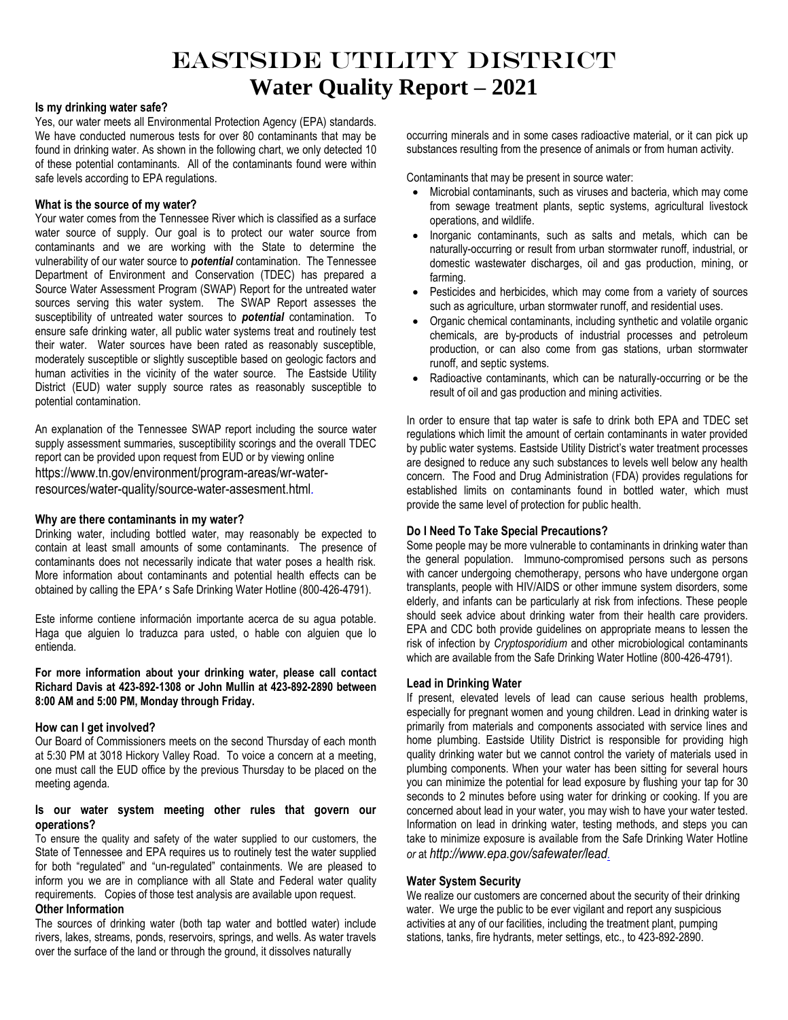# Eastside Utility District **Water Quality Report – 2021**

#### **Is my drinking water safe?**

Yes, our water meets all Environmental Protection Agency (EPA) standards. We have conducted numerous tests for over 80 contaminants that may be found in drinking water. As shown in the following chart, we only detected 10 of these potential contaminants. All of the contaminants found were within safe levels according to EPA regulations.

### **What is the source of my water?**

Your water comes from the Tennessee River which is classified as a surface water source of supply. Our goal is to protect our water source from contaminants and we are working with the State to determine the vulnerability of our water source to *potential* contamination. The Tennessee Department of Environment and Conservation (TDEC) has prepared a Source Water Assessment Program (SWAP) Report for the untreated water sources serving this water system. The SWAP Report assesses the susceptibility of untreated water sources to *potential* contamination. To ensure safe drinking water, all public water systems treat and routinely test their water. Water sources have been rated as reasonably susceptible, moderately susceptible or slightly susceptible based on geologic factors and human activities in the vicinity of the water source. The Eastside Utility District (EUD) water supply source rates as reasonably susceptible to potential contamination.

An explanation of the Tennessee SWAP report including the source water supply assessment summaries, susceptibility scorings and the overall TDEC report can be provided upon request from EUD or by viewing online https://www.tn.gov/environment/program-areas/wr-waterresources/water-quality/source-water-assesment.html*.*

# **Why are there contaminants in my water?**

Drinking water, including bottled water, may reasonably be expected to contain at least small amounts of some contaminants. The presence of contaminants does not necessarily indicate that water poses a health risk. More information about contaminants and potential health effects can be obtained by calling the EPA's Safe Drinking Water Hotline (800-426-4791).

Este informe contiene información importante acerca de su agua potable. Haga que alguien lo traduzca para usted, o hable con alguien que lo entienda.

**For more information about your drinking water, please call contact Richard Davis at 423-892-1308 or John Mullin at 423-892-2890 between 8:00 AM and 5:00 PM, Monday through Friday.**

#### **How can I get involved?**

Our Board of Commissioners meets on the second Thursday of each month at 5:30 PM at 3018 Hickory Valley Road. To voice a concern at a meeting, one must call the EUD office by the previous Thursday to be placed on the meeting agenda.

# **Is our water system meeting other rules that govern our operations?**

To ensure the quality and safety of the water supplied to our customers, the State of Tennessee and EPA requires us to routinely test the water supplied for both "regulated" and "un-regulated" containments. We are pleased to inform you we are in compliance with all State and Federal water quality requirements. Copies of those test analysis are available upon request.

# **Other Information**

The sources of drinking water (both tap water and bottled water) include rivers, lakes, streams, ponds, reservoirs, springs, and wells. As water travels over the surface of the land or through the ground, it dissolves naturally

occurring minerals and in some cases radioactive material, or it can pick up substances resulting from the presence of animals or from human activity.

Contaminants that may be present in source water:

- Microbial contaminants, such as viruses and bacteria, which may come from sewage treatment plants, septic systems, agricultural livestock operations, and wildlife.
- Inorganic contaminants, such as salts and metals, which can be naturally-occurring or result from urban stormwater runoff, industrial, or domestic wastewater discharges, oil and gas production, mining, or farming.
- Pesticides and herbicides, which may come from a variety of sources such as agriculture, urban stormwater runoff, and residential uses.
- Organic chemical contaminants, including synthetic and volatile organic chemicals, are by-products of industrial processes and petroleum production, or can also come from gas stations, urban stormwater runoff, and septic systems.
- Radioactive contaminants, which can be naturally-occurring or be the result of oil and gas production and mining activities.

In order to ensure that tap water is safe to drink both EPA and TDEC set regulations which limit the amount of certain contaminants in water provided by public water systems. Eastside Utility District's water treatment processes are designed to reduce any such substances to levels well below any health concern. The Food and Drug Administration (FDA) provides regulations for established limits on contaminants found in bottled water, which must provide the same level of protection for public health.

# **Do I Need To Take Special Precautions?**

Some people may be more vulnerable to contaminants in drinking water than the general population. Immuno-compromised persons such as persons with cancer undergoing chemotherapy, persons who have undergone organ transplants, people with HIV/AIDS or other immune system disorders, some elderly, and infants can be particularly at risk from infections. These people should seek advice about drinking water from their health care providers. EPA and CDC both provide guidelines on appropriate means to lessen the risk of infection by *Cryptosporidium* and other microbiological contaminants which are available from the Safe Drinking Water Hotline (800-426-4791).

#### **Lead in Drinking Water**

If present, elevated levels of lead can cause serious health problems, especially for pregnant women and young children. Lead in drinking water is primarily from materials and components associated with service lines and home plumbing. Eastside Utility District is responsible for providing high quality drinking water but we cannot control the variety of materials used in plumbing components. When your water has been sitting for several hours you can minimize the potential for lead exposure by flushing your tap for 30 seconds to 2 minutes before using water for drinking or cooking. If you are concerned about lead in your water, you may wish to have your water tested. Information on lead in drinking water, testing methods, and steps you can take to minimize exposure is available from the Safe Drinking Water Hotline *or* at *http://www.epa.gov/safewater/lead.*

#### **Water System Security**

We realize our customers are concerned about the security of their drinking water. We urge the public to be ever vigilant and report any suspicious activities at any of our facilities, including the treatment plant, pumping stations, tanks, fire hydrants, meter settings, etc., to 423-892-2890.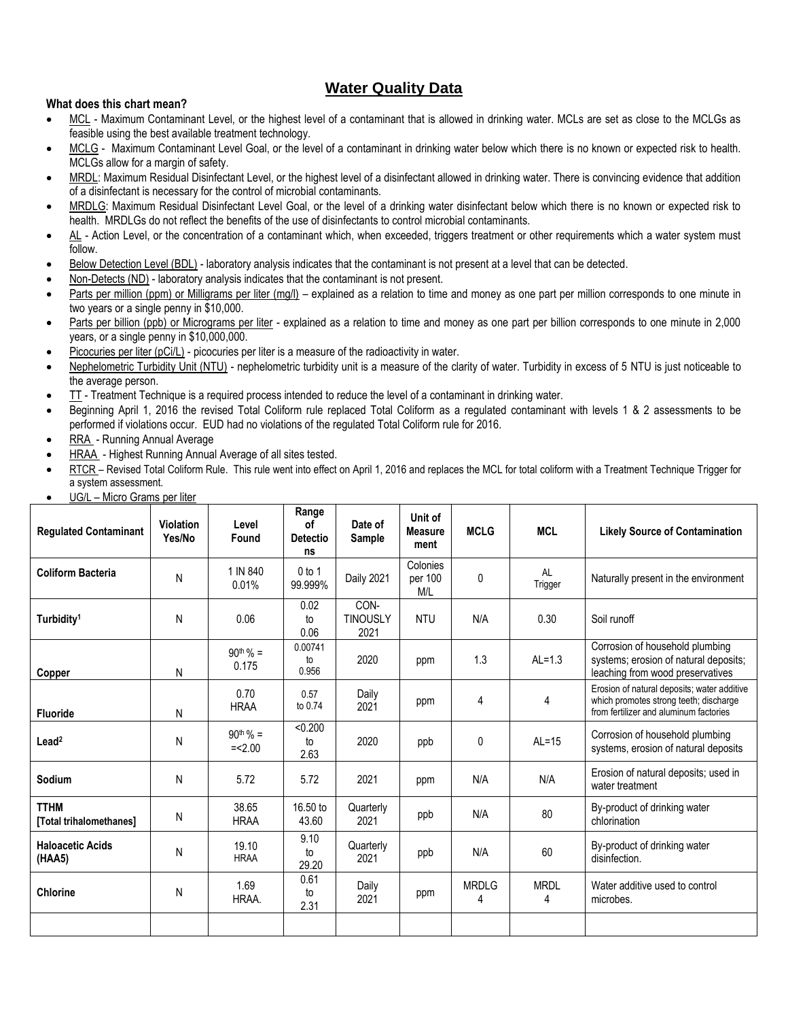# **Water Quality Data**

# **What does this chart mean?**

- MCL Maximum Contaminant Level, or the highest level of a contaminant that is allowed in drinking water. MCLs are set as close to the MCLGs as feasible using the best available treatment technology.
- MCLG Maximum Contaminant Level Goal, or the level of a contaminant in drinking water below which there is no known or expected risk to health. MCLGs allow for a margin of safety.
- MRDL: Maximum Residual Disinfectant Level, or the highest level of a disinfectant allowed in drinking water. There is convincing evidence that addition of a disinfectant is necessary for the control of microbial contaminants.
- MRDLG: Maximum Residual Disinfectant Level Goal, or the level of a drinking water disinfectant below which there is no known or expected risk to health. MRDLGs do not reflect the benefits of the use of disinfectants to control microbial contaminants.
- AL Action Level, or the concentration of a contaminant which, when exceeded, triggers treatment or other requirements which a water system must follow.
- Below Detection Level (BDL) laboratory analysis indicates that the contaminant is not present at a level that can be detected.
- Non-Detects (ND) laboratory analysis indicates that the contaminant is not present.
- Parts per million (ppm) or Milligrams per liter (mg/l) explained as a relation to time and money as one part per million corresponds to one minute in two years or a single penny in \$10,000.
- Parts per billion (ppb) or Micrograms per liter explained as a relation to time and money as one part per billion corresponds to one minute in 2,000 years, or a single penny in \$10,000,000.
- Picocuries per liter (pCi/L) picocuries per liter is a measure of the radioactivity in water.
- Nephelometric Turbidity Unit (NTU) nephelometric turbidity unit is a measure of the clarity of water. Turbidity in excess of 5 NTU is just noticeable to the average person.
- TT Treatment Technique is a required process intended to reduce the level of a contaminant in drinking water.
- Beginning April 1, 2016 the revised Total Coliform rule replaced Total Coliform as a regulated contaminant with levels 1 & 2 assessments to be performed if violations occur. EUD had no violations of the regulated Total Coliform rule for 2016.
- RRA Running Annual Average
- HRAA Highest Running Annual Average of all sites tested.
- RTCR Revised Total Coliform Rule. This rule went into effect on April 1, 2016 and replaces the MCL for total coliform with a Treatment Technique Trigger for a system assessment.
- UG/L Micro Grams per liter

| <b>Regulated Contaminant</b>           | <b>Violation</b><br>Yes/No | Level<br>Found             | Range<br>οf<br><b>Detectio</b><br>ns | Date of<br>Sample               | Unit of<br><b>Measure</b><br>ment | <b>MCLG</b>       | <b>MCL</b>           | <b>Likely Source of Contamination</b>                                                                                           |
|----------------------------------------|----------------------------|----------------------------|--------------------------------------|---------------------------------|-----------------------------------|-------------------|----------------------|---------------------------------------------------------------------------------------------------------------------------------|
| <b>Coliform Bacteria</b>               | N                          | 1 IN 840<br>0.01%          | $0$ to 1<br>99.999%                  | <b>Daily 2021</b>               | Colonies<br>per 100<br>M/L        | 0                 | <b>AL</b><br>Trigger | Naturally present in the environment                                                                                            |
| Turbidity <sup>1</sup>                 | N                          | 0.06                       | 0.02<br>to<br>0.06                   | CON-<br><b>TINOUSLY</b><br>2021 | <b>NTU</b>                        | N/A               | 0.30                 | Soil runoff                                                                                                                     |
| Copper                                 | N                          | $90^{th}$ % =<br>0.175     | 0.00741<br>to<br>0.956               | 2020                            | ppm                               | 1.3               | $AL=1.3$             | Corrosion of household plumbing<br>systems; erosion of natural deposits;<br>leaching from wood preservatives                    |
| <b>Fluoride</b>                        | N                          | 0.70<br><b>HRAA</b>        | 0.57<br>to 0.74                      | Daily<br>2021                   | ppm                               | 4                 | 4                    | Erosion of natural deposits; water additive<br>which promotes strong teeth; discharge<br>from fertilizer and aluminum factories |
| $L$ ead <sup>2</sup>                   | N                          | $90^{th}$ % =<br>$=< 2.00$ | < 0.200<br>to<br>2.63                | 2020                            | ppb                               | 0                 | $AL=15$              | Corrosion of household plumbing<br>systems, erosion of natural deposits                                                         |
| Sodium                                 | N                          | 5.72                       | 5.72                                 | 2021                            | ppm                               | N/A               | N/A                  | Erosion of natural deposits; used in<br>water treatment                                                                         |
| <b>TTHM</b><br>[Total trihalomethanes] | N                          | 38.65<br><b>HRAA</b>       | 16.50 to<br>43.60                    | Quarterly<br>2021               | ppb                               | N/A               | 80                   | By-product of drinking water<br>chlorination                                                                                    |
| <b>Haloacetic Acids</b><br>(HAA5)      | N                          | 19.10<br><b>HRAA</b>       | 9.10<br>to<br>29.20                  | Quarterly<br>2021               | ppb                               | N/A               | 60                   | By-product of drinking water<br>disinfection.                                                                                   |
| <b>Chlorine</b>                        | N                          | 1.69<br>HRAA.              | 0.61<br>to<br>2.31                   | Daily<br>2021                   | ppm                               | <b>MRDLG</b><br>4 | <b>MRDL</b><br>4     | Water additive used to control<br>microbes.                                                                                     |
|                                        |                            |                            |                                      |                                 |                                   |                   |                      |                                                                                                                                 |